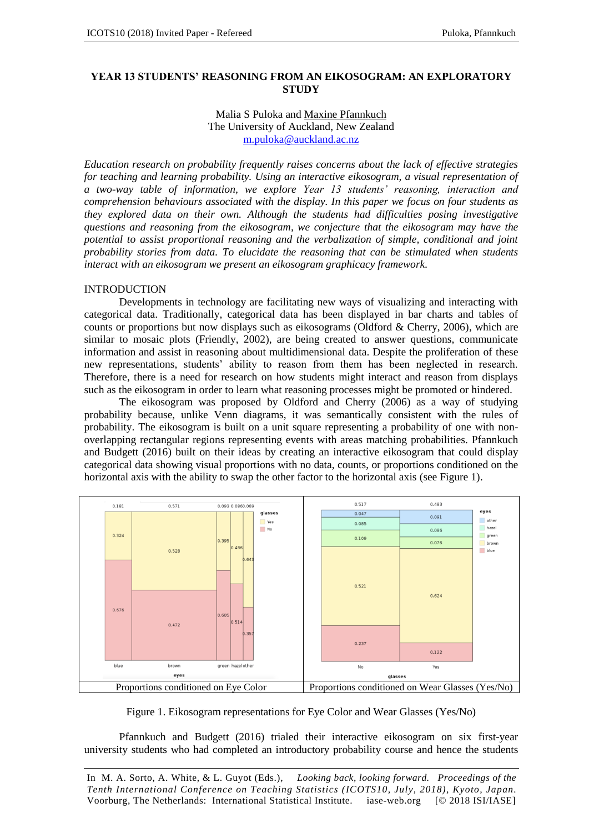#### **YEAR 13 STUDENTS' REASONING FROM AN EIKOSOGRAM: AN EXPLORATORY STUDY**

#### Malia S Puloka and Maxine Pfannkuch The University of Auckland, New Zealand m.puloka@auckland.ac.nz

*Education research on probability frequently raises concerns about the lack of effective strategies for teaching and learning probability. Using an interactive eikosogram, a visual representation of a two-way table of information, we explore Year 13 students' reasoning, interaction and comprehension behaviours associated with the display. In this paper we focus on four students as they explored data on their own. Although the students had difficulties posing investigative questions and reasoning from the eikosogram, we conjecture that the eikosogram may have the potential to assist proportional reasoning and the verbalization of simple, conditional and joint probability stories from data. To elucidate the reasoning that can be stimulated when students interact with an eikosogram we present an eikosogram graphicacy framework.*

#### INTRODUCTION

Developments in technology are facilitating new ways of visualizing and interacting with categorical data. Traditionally, categorical data has been displayed in bar charts and tables of counts or proportions but now displays such as eikosograms (Oldford & Cherry, 2006), which are similar to mosaic plots (Friendly, 2002), are being created to answer questions, communicate information and assist in reasoning about multidimensional data. Despite the proliferation of these new representations, students' ability to reason from them has been neglected in research. Therefore, there is a need for research on how students might interact and reason from displays such as the eikosogram in order to learn what reasoning processes might be promoted or hindered.

The eikosogram was proposed by Oldford and Cherry (2006) as a way of studying probability because, unlike Venn diagrams, it was semantically consistent with the rules of probability. The eikosogram is built on a unit square representing a probability of one with nonoverlapping rectangular regions representing events with areas matching probabilities. Pfannkuch and Budgett (2016) built on their ideas by creating an interactive eikosogram that could display categorical data showing visual proportions with no data, counts, or proportions conditioned on the horizontal axis with the ability to swap the other factor to the horizontal axis (see Figure 1).



Figure 1. Eikosogram representations for Eye Color and Wear Glasses (Yes/No)

Pfannkuch and Budgett (2016) trialed their interactive eikosogram on six first-year university students who had completed an introductory probability course and hence the students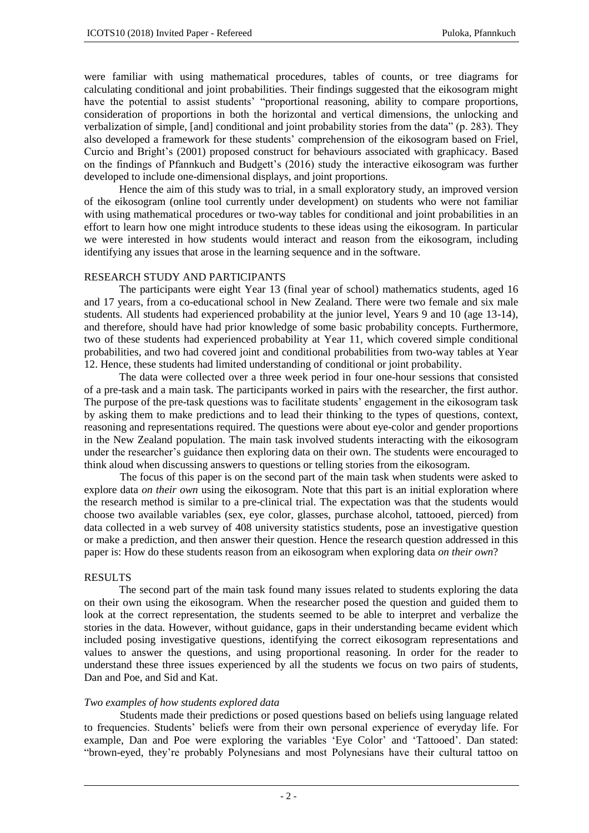were familiar with using mathematical procedures, tables of counts, or tree diagrams for calculating conditional and joint probabilities. Their findings suggested that the eikosogram might have the potential to assist students' "proportional reasoning, ability to compare proportions, consideration of proportions in both the horizontal and vertical dimensions, the unlocking and verbalization of simple, [and] conditional and joint probability stories from the data" (p. 283). They also developed a framework for these students' comprehension of the eikosogram based on Friel, Curcio and Bright's (2001) proposed construct for behaviours associated with graphicacy. Based on the findings of Pfannkuch and Budgett's (2016) study the interactive eikosogram was further developed to include one-dimensional displays, and joint proportions.

Hence the aim of this study was to trial, in a small exploratory study, an improved version of the eikosogram (online tool currently under development) on students who were not familiar with using mathematical procedures or two-way tables for conditional and joint probabilities in an effort to learn how one might introduce students to these ideas using the eikosogram. In particular we were interested in how students would interact and reason from the eikosogram, including identifying any issues that arose in the learning sequence and in the software.

## RESEARCH STUDY AND PARTICIPANTS

The participants were eight Year 13 (final year of school) mathematics students, aged 16 and 17 years, from a co-educational school in New Zealand. There were two female and six male students. All students had experienced probability at the junior level, Years 9 and 10 (age 13-14), and therefore, should have had prior knowledge of some basic probability concepts. Furthermore, two of these students had experienced probability at Year 11, which covered simple conditional probabilities, and two had covered joint and conditional probabilities from two-way tables at Year 12. Hence, these students had limited understanding of conditional or joint probability.

The data were collected over a three week period in four one-hour sessions that consisted of a pre-task and a main task. The participants worked in pairs with the researcher, the first author. The purpose of the pre-task questions was to facilitate students' engagement in the eikosogram task by asking them to make predictions and to lead their thinking to the types of questions, context, reasoning and representations required. The questions were about eye-color and gender proportions in the New Zealand population. The main task involved students interacting with the eikosogram under the researcher's guidance then exploring data on their own. The students were encouraged to think aloud when discussing answers to questions or telling stories from the eikosogram.

The focus of this paper is on the second part of the main task when students were asked to explore data *on their own* using the eikosogram. Note that this part is an initial exploration where the research method is similar to a pre-clinical trial. The expectation was that the students would choose two available variables (sex, eye color, glasses, purchase alcohol, tattooed, pierced) from data collected in a web survey of 408 university statistics students, pose an investigative question or make a prediction, and then answer their question. Hence the research question addressed in this paper is: How do these students reason from an eikosogram when exploring data *on their own*?

### RESULTS

The second part of the main task found many issues related to students exploring the data on their own using the eikosogram. When the researcher posed the question and guided them to look at the correct representation, the students seemed to be able to interpret and verbalize the stories in the data. However, without guidance, gaps in their understanding became evident which included posing investigative questions, identifying the correct eikosogram representations and values to answer the questions, and using proportional reasoning. In order for the reader to understand these three issues experienced by all the students we focus on two pairs of students, Dan and Poe, and Sid and Kat.

### *Two examples of how students explored data*

Students made their predictions or posed questions based on beliefs using language related to frequencies. Students' beliefs were from their own personal experience of everyday life. For example, Dan and Poe were exploring the variables 'Eye Color' and 'Tattooed'. Dan stated: "brown-eyed, they're probably Polynesians and most Polynesians have their cultural tattoo on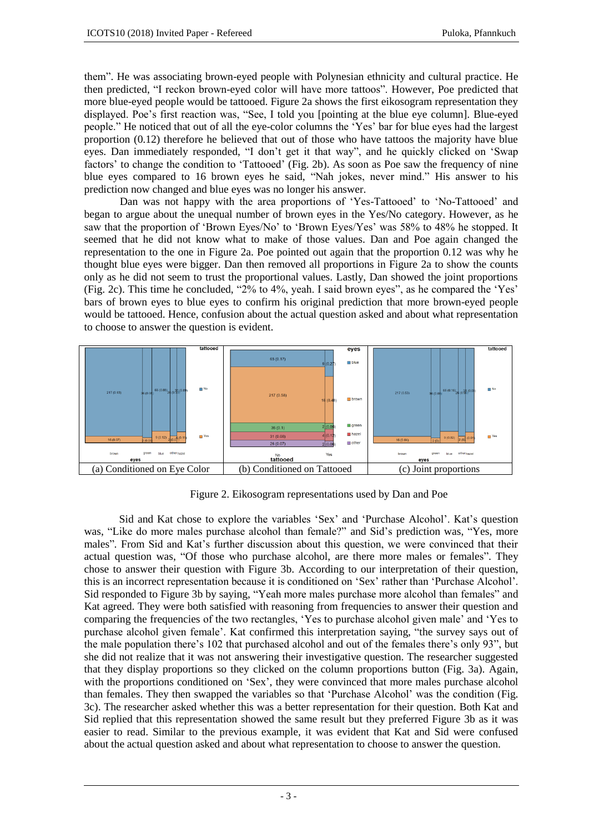them". He was associating brown-eyed people with Polynesian ethnicity and cultural practice. He then predicted, "I reckon brown-eyed color will have more tattoos". However, Poe predicted that more blue-eyed people would be tattooed. Figure 2a shows the first eikosogram representation they displayed. Poe's first reaction was, "See, I told you [pointing at the blue eye column]. Blue-eyed people." He noticed that out of all the eye-color columns the 'Yes' bar for blue eyes had the largest proportion (0.12) therefore he believed that out of those who have tattoos the majority have blue eyes. Dan immediately responded, "I don't get it that way", and he quickly clicked on 'Swap factors' to change the condition to 'Tattooed' (Fig. 2b). As soon as Poe saw the frequency of nine blue eyes compared to 16 brown eyes he said, "Nah jokes, never mind." His answer to his prediction now changed and blue eyes was no longer his answer.

Dan was not happy with the area proportions of 'Yes-Tattooed' to 'No-Tattooed' and began to argue about the unequal number of brown eyes in the Yes/No category. However, as he saw that the proportion of 'Brown Eyes/No' to 'Brown Eyes/Yes' was 58% to 48% he stopped. It seemed that he did not know what to make of those values. Dan and Poe again changed the representation to the one in Figure 2a. Poe pointed out again that the proportion 0.12 was why he thought blue eyes were bigger. Dan then removed all proportions in Figure 2a to show the counts only as he did not seem to trust the proportional values. Lastly, Dan showed the joint proportions (Fig. 2c). This time he concluded, "2% to 4%, yeah. I said brown eyes", as he compared the 'Yes' bars of brown eyes to blue eyes to confirm his original prediction that more brown-eyed people would be tattooed. Hence, confusion about the actual question asked and about what representation to choose to answer the question is evident.



Figure 2. Eikosogram representations used by Dan and Poe

Sid and Kat chose to explore the variables 'Sex' and 'Purchase Alcohol'. Kat's question was, "Like do more males purchase alcohol than female?" and Sid's prediction was, "Yes, more males"*.* From Sid and Kat's further discussion about this question, we were convinced that their actual question was, "Of those who purchase alcohol, are there more males or females". They chose to answer their question with Figure 3b. According to our interpretation of their question, this is an incorrect representation because it is conditioned on 'Sex' rather than 'Purchase Alcohol'. Sid responded to Figure 3b by saying, "Yeah more males purchase more alcohol than females" and Kat agreed. They were both satisfied with reasoning from frequencies to answer their question and comparing the frequencies of the two rectangles, 'Yes to purchase alcohol given male' and 'Yes to purchase alcohol given female'. Kat confirmed this interpretation saying, "the survey says out of the male population there's 102 that purchased alcohol and out of the females there's only 93", but she did not realize that it was not answering their investigative question. The researcher suggested that they display proportions so they clicked on the column proportions button (Fig. 3a). Again, with the proportions conditioned on 'Sex', they were convinced that more males purchase alcohol than females. They then swapped the variables so that 'Purchase Alcohol' was the condition (Fig. 3c). The researcher asked whether this was a better representation for their question. Both Kat and Sid replied that this representation showed the same result but they preferred Figure 3b as it was easier to read. Similar to the previous example, it was evident that Kat and Sid were confused about the actual question asked and about what representation to choose to answer the question.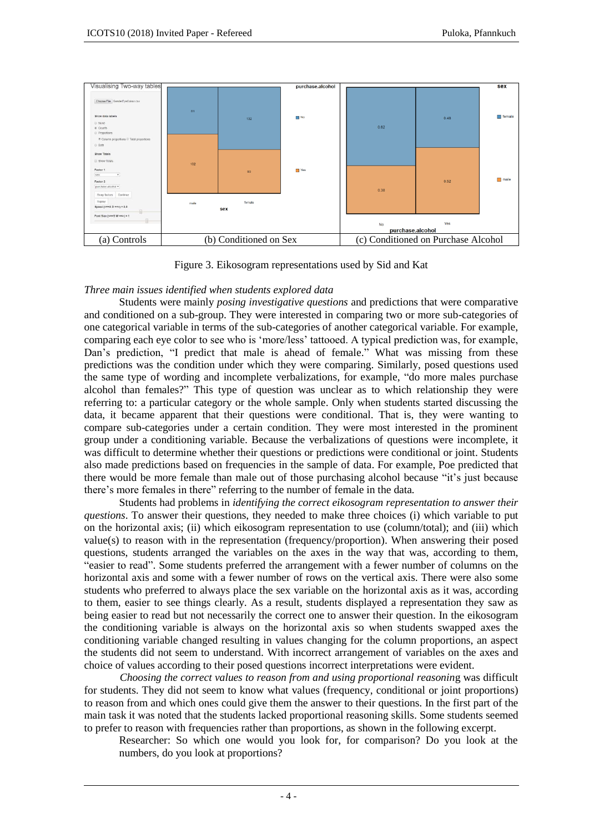

Figure 3. Eikosogram representations used by Sid and Kat

# *Three main issues identified when students explored data*

Students were mainly *posing investigative questions* and predictions that were comparative and conditioned on a sub-group. They were interested in comparing two or more sub-categories of one categorical variable in terms of the sub-categories of another categorical variable. For example, comparing each eye color to see who is 'more/less' tattooed. A typical prediction was, for example, Dan's prediction, "I predict that male is ahead of female." What was missing from these predictions was the condition under which they were comparing. Similarly, posed questions used the same type of wording and incomplete verbalizations, for example, "do more males purchase alcohol than females?" This type of question was unclear as to which relationship they were referring to: a particular category or the whole sample. Only when students started discussing the data, it became apparent that their questions were conditional. That is, they were wanting to compare sub-categories under a certain condition. They were most interested in the prominent group under a conditioning variable. Because the verbalizations of questions were incomplete, it was difficult to determine whether their questions or predictions were conditional or joint. Students also made predictions based on frequencies in the sample of data. For example, Poe predicted that there would be more female than male out of those purchasing alcohol because "it's just because there's more females in there" referring to the number of female in the data*.*

Students had problems in *identifying the correct eikosogram representation to answer their questions*. To answer their questions, they needed to make three choices (i) which variable to put on the horizontal axis; (ii) which eikosogram representation to use (column/total); and (iii) which value(s) to reason with in the representation (frequency/proportion). When answering their posed questions, students arranged the variables on the axes in the way that was, according to them, "easier to read". Some students preferred the arrangement with a fewer number of columns on the horizontal axis and some with a fewer number of rows on the vertical axis. There were also some students who preferred to always place the sex variable on the horizontal axis as it was, according to them, easier to see things clearly. As a result, students displayed a representation they saw as being easier to read but not necessarily the correct one to answer their question. In the eikosogram the conditioning variable is always on the horizontal axis so when students swapped axes the conditioning variable changed resulting in values changing for the column proportions, an aspect the students did not seem to understand. With incorrect arrangement of variables on the axes and choice of values according to their posed questions incorrect interpretations were evident.

*Choosing the correct values to reason from and using proportional reasonin*g was difficult for students. They did not seem to know what values (frequency, conditional or joint proportions) to reason from and which ones could give them the answer to their questions. In the first part of the main task it was noted that the students lacked proportional reasoning skills. Some students seemed to prefer to reason with frequencies rather than proportions, as shown in the following excerpt.

Researcher: So which one would you look for, for comparison? Do you look at the numbers, do you look at proportions?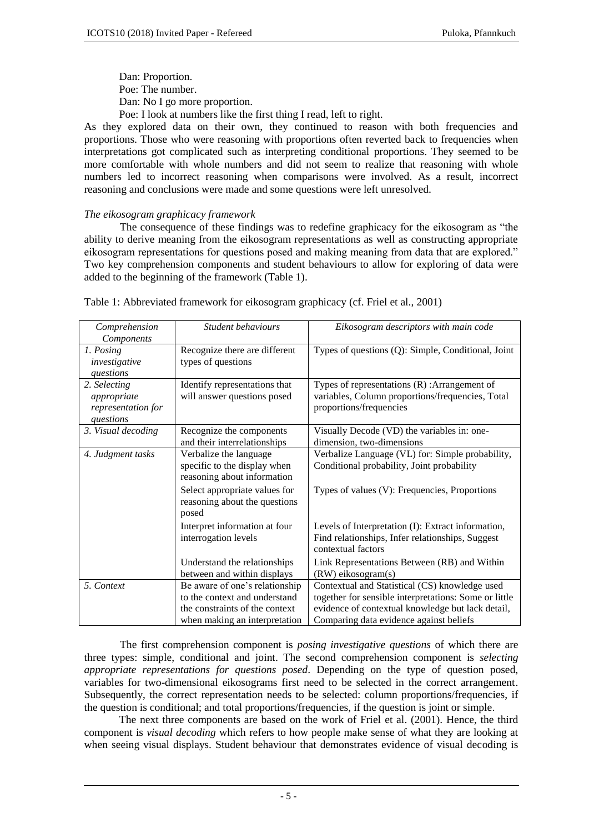Dan: Proportion. Poe: The number. Dan: No I go more proportion. Poe: I look at numbers like the first thing I read, left to right.

As they explored data on their own, they continued to reason with both frequencies and proportions. Those who were reasoning with proportions often reverted back to frequencies when interpretations got complicated such as interpreting conditional proportions. They seemed to be more comfortable with whole numbers and did not seem to realize that reasoning with whole numbers led to incorrect reasoning when comparisons were involved. As a result, incorrect reasoning and conclusions were made and some questions were left unresolved.

# *The eikosogram graphicacy framework*

The consequence of these findings was to redefine graphicacy for the eikosogram as "the ability to derive meaning from the eikosogram representations as well as constructing appropriate eikosogram representations for questions posed and making meaning from data that are explored." Two key comprehension components and student behaviours to allow for exploring of data were added to the beginning of the framework (Table 1).

| Comprehension      | Student behaviours             | Eikosogram descriptors with main code                 |
|--------------------|--------------------------------|-------------------------------------------------------|
| Components         |                                |                                                       |
| 1. Posing          | Recognize there are different  | Types of questions (Q): Simple, Conditional, Joint    |
| investigative      | types of questions             |                                                       |
| questions          |                                |                                                       |
| 2. Selecting       | Identify representations that  | Types of representations $(R)$ : Arrangement of       |
| appropriate        | will answer questions posed    | variables, Column proportions/frequencies, Total      |
| representation for |                                | proportions/frequencies                               |
| questions          |                                |                                                       |
| 3. Visual decoding | Recognize the components       | Visually Decode (VD) the variables in: one-           |
|                    | and their interrelationships   | dimension, two-dimensions                             |
| 4. Judgment tasks  | Verbalize the language         | Verbalize Language (VL) for: Simple probability,      |
|                    | specific to the display when   | Conditional probability, Joint probability            |
|                    | reasoning about information    |                                                       |
|                    | Select appropriate values for  | Types of values (V): Frequencies, Proportions         |
|                    | reasoning about the questions  |                                                       |
|                    | posed                          |                                                       |
|                    | Interpret information at four  | Levels of Interpretation (I): Extract information,    |
|                    | interrogation levels           | Find relationships, Infer relationships, Suggest      |
|                    |                                | contextual factors                                    |
|                    | Understand the relationships   | Link Representations Between (RB) and Within          |
|                    | between and within displays    | (RW) eikosogram(s)                                    |
| 5. Context         | Be aware of one's relationship | Contextual and Statistical (CS) knowledge used        |
|                    | to the context and understand  | together for sensible interpretations: Some or little |
|                    | the constraints of the context | evidence of contextual knowledge but lack detail,     |
|                    | when making an interpretation  | Comparing data evidence against beliefs               |

Table 1: Abbreviated framework for eikosogram graphicacy (cf. Friel et al., 2001)

The first comprehension component is *posing investigative questions* of which there are three types: simple, conditional and joint. The second comprehension component is *selecting appropriate representations for questions posed*. Depending on the type of question posed, variables for two-dimensional eikosograms first need to be selected in the correct arrangement. Subsequently, the correct representation needs to be selected: column proportions/frequencies, if the question is conditional; and total proportions/frequencies, if the question is joint or simple.

The next three components are based on the work of Friel et al. (2001). Hence, the third component is *visual decoding* which refers to how people make sense of what they are looking at when seeing visual displays. Student behaviour that demonstrates evidence of visual decoding is